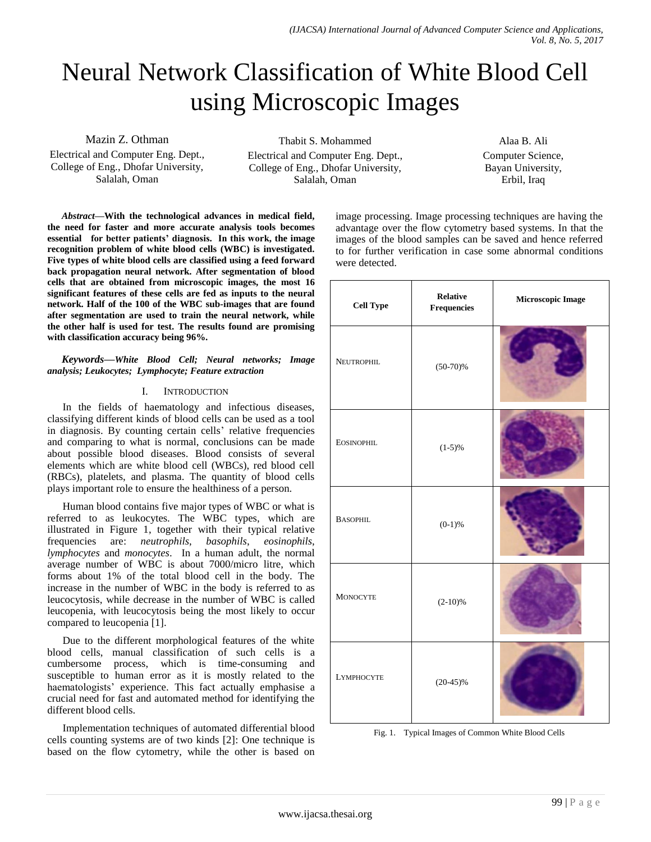# Neural Network Classification of White Blood Cell using Microscopic Images

Mazin Z. Othman Electrical and Computer Eng. Dept., College of Eng., Dhofar University, Salalah, Oman

Thabit S. Mohammed Electrical and Computer Eng. Dept., College of Eng., Dhofar University, Salalah, Oman

Alaa B. Ali Computer Science, Bayan University, Erbil, Iraq

*Abstract***—With the technological advances in medical field, the need for faster and more accurate analysis tools becomes essential for better patients' diagnosis. In this work, the image recognition problem of white blood cells (WBC) is investigated. Five types of white blood cells are classified using a feed forward back propagation neural network. After segmentation of blood cells that are obtained from microscopic images, the most 16 significant features of these cells are fed as inputs to the neural network. Half of the 100 of the WBC sub-images that are found after segmentation are used to train the neural network, while the other half is used for test. The results found are promising with classification accuracy being 96%.**

## *Keywords—White Blood Cell; Neural networks; Image analysis; Leukocytes; Lymphocyte; Feature extraction*

## I. INTRODUCTION

In the fields of haematology and infectious diseases, classifying different kinds of blood cells can be used as a tool in diagnosis. By counting certain cells' relative frequencies and comparing to what is normal, conclusions can be made about possible blood diseases. Blood consists of several elements which are white blood cell (WBCs), red blood cell (RBCs), platelets, and plasma. The quantity of blood cells plays important role to ensure the healthiness of a person.

Human blood contains five major types of WBC or what is referred to as leukocytes. The WBC types, which are illustrated in Figure 1, together with their typical relative frequencies are: *neutrophils*, *basophils*, *eosinophils*, *lymphocytes* and *monocytes*. In a human adult, the normal average number of WBC is about 7000/micro litre, which forms about 1% of the total blood cell in the body. The increase in the number of WBC in the body is referred to as leucocytosis, while decrease in the number of WBC is called leucopenia, with leucocytosis being the most likely to occur compared to leucopenia [1].

Due to the different morphological features of the white blood cells, manual classification of such cells is a cumbersome process, which is time-consuming and susceptible to human error as it is mostly related to the haematologists' experience. This fact actually emphasise a crucial need for fast and automated method for identifying the different blood cells.

Implementation techniques of automated differential blood cells counting systems are of two kinds [2]: One technique is based on the flow cytometry, while the other is based on image processing. Image processing techniques are having the advantage over the flow cytometry based systems. In that the images of the blood samples can be saved and hence referred to for further verification in case some abnormal conditions were detected.

| <b>Cell Type</b>  | <b>Relative</b><br>Frequencies | Microscopic Image |  |
|-------------------|--------------------------------|-------------------|--|
| <b>NEUTROPHIL</b> | $(50-70)\%$                    |                   |  |
| <b>EOSINOPHIL</b> | $(1-5)\%$                      |                   |  |
| <b>BASOPHIL</b>   | $(0-1)\%$                      |                   |  |
| <b>MONOCYTE</b>   | $(2-10)%$                      |                   |  |
| <b>LYMPHOCYTE</b> | $(20-45)\%$                    |                   |  |

Fig. 1. Typical Images of Common White Blood Cells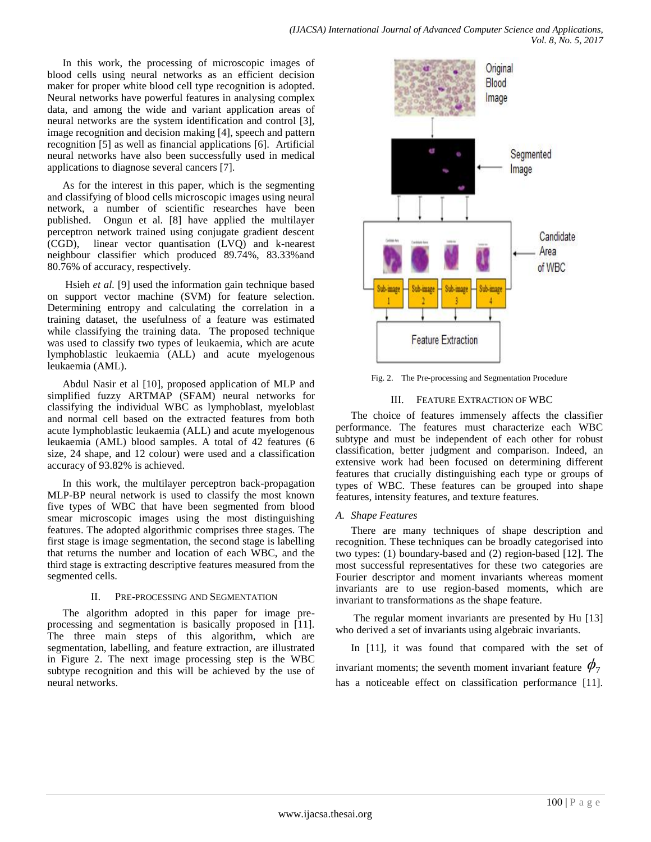In this work, the processing of microscopic images of blood cells using neural networks as an efficient decision maker for proper white blood cell type recognition is adopted. Neural networks have powerful features in analysing complex data, and among the wide and variant application areas of neural networks are the system identification and control [3], image recognition and decision making [4], speech and pattern recognition [5] as well as financial applications [6]. Artificial neural networks have also been successfully used in medical applications to diagnose several cancers [7].

As for the interest in this paper, which is the segmenting and classifying of blood cells microscopic images using neural network, a number of scientific researches have been published. Ongun et al. [8] have applied the multilayer perceptron network trained using conjugate gradient descent (CGD), linear vector quantisation (LVQ) and k-nearest neighbour classifier which produced 89.74%, 83.33%and 80.76% of accuracy, respectively.

Hsieh *et al.* [9] used the information gain technique based on support vector machine (SVM) for feature selection. Determining entropy and calculating the correlation in a training dataset, the usefulness of a feature was estimated while classifying the training data. The proposed technique was used to classify two types of leukaemia, which are acute lymphoblastic leukaemia (ALL) and acute myelogenous leukaemia (AML).

Abdul Nasir et al [10], proposed application of MLP and simplified fuzzy ARTMAP (SFAM) neural networks for classifying the individual WBC as lymphoblast, myeloblast and normal cell based on the extracted features from both acute lymphoblastic leukaemia (ALL) and acute myelogenous leukaemia (AML) blood samples. A total of 42 features (6 size, 24 shape, and 12 colour) were used and a classification accuracy of 93.82% is achieved.

In this work, the multilayer perceptron back-propagation MLP-BP neural network is used to classify the most known five types of WBC that have been segmented from blood smear microscopic images using the most distinguishing features. The adopted algorithmic comprises three stages. The first stage is image segmentation, the second stage is labelling that returns the number and location of each WBC, and the third stage is extracting descriptive features measured from the segmented cells.

## II. PRE-PROCESSING AND SEGMENTATION

The algorithm adopted in this paper for image preprocessing and segmentation is basically proposed in [11]. The three main steps of this algorithm, which are segmentation, labelling, and feature extraction, are illustrated in Figure 2. The next image processing step is the WBC subtype recognition and this will be achieved by the use of neural networks.



Fig. 2. The Pre-processing and Segmentation Procedure

## III. FEATURE EXTRACTION OF WBC

The choice of features immensely affects the classifier performance. The features must characterize each WBC subtype and must be independent of each other for robust classification, better judgment and comparison. Indeed, an extensive work had been focused on determining different features that crucially distinguishing each type or groups of types of WBC. These features can be grouped into shape features, intensity features, and texture features.

## *A. Shape Features*

There are many techniques of shape description and recognition. These techniques can be broadly categorised into two types: (1) boundary-based and (2) region-based [12]. The most successful representatives for these two categories are Fourier descriptor and moment invariants whereas moment invariants are to use region-based moments, which are invariant to transformations as the shape feature.

The regular moment invariants are presented by Hu [13] who derived a set of invariants using algebraic invariants.

In [11], it was found that compared with the set of invariant moments; the seventh moment invariant feature  $\phi_{\scriptscriptstyle 7}$ has a noticeable effect on classification performance [11].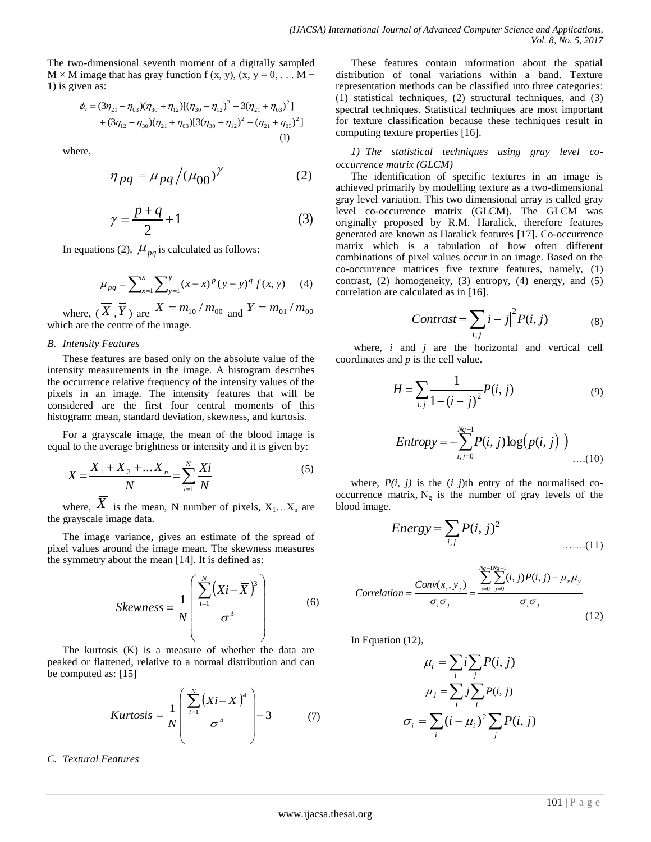The two-dimensional seventh moment of a digitally sampled  $M \times M$  image that has gray function f (x, y), (x, y = 0, ... M – 1) is given as:

$$
\phi_7 = (3\eta_{21} - \eta_{03})(\eta_{30} + \eta_{12})[(\eta_{30} + \eta_{12})^2 - 3(\eta_{21} + \eta_{03})^2] + (3\eta_{12} - \eta_{30})(\eta_{21} + \eta_{03})[3(\eta_{30} + \eta_{12})^2 - (\eta_{21} + \eta_{03})^2]
$$
\n(1)

where,

$$
\eta_{pq} = \mu_{pq} / (\mu_{00})^{\gamma} \tag{2}
$$

$$
\gamma = \frac{p+q}{2} + 1\tag{3}
$$

In equations (2),  $\mu_{pq}$  is calculated as follows:

$$
\mu_{pq} = \sum_{x=1}^{x} \sum_{y=1}^{y} (x - \overline{x})^p (y - \overline{y})^q f(x, y) \tag{4}
$$

where,  $(\overline{X}, \overline{Y})$  are  $\overline{X} = m_{10} / m_{00}$  and  $\overline{Y} = m_{01} / m_{00}$ which are the centre of the image.

#### *B. Intensity Features*

These features are based only on the absolute value of the intensity measurements in the image. A histogram describes the occurrence relative frequency of the intensity values of the pixels in an image. The intensity features that will be considered are the first four central moments of this histogram: mean, standard deviation, skewness, and kurtosis.

For a grayscale image, the mean of the blood image is equal to the average brightness or intensity and it is given by:

$$
\overline{X} = \frac{X_1 + X_2 + \dots X_n}{N} = \sum_{i=1}^{N} \frac{Xi}{N}
$$
 (5)

where,  $\overline{X}$  is the mean, N number of pixels,  $X_1...X_n$  are the grayscale image data.

The image variance, gives an estimate of the spread of pixel values around the image mean. The skewness measures the symmetry about the mean [14]. It is defined as:

$$
Skewness = \frac{1}{N} \left( \frac{\sum_{i=1}^{N} (Xi - \overline{X})^3}{\sigma^3} \right)
$$
(6)

The kurtosis (K) is a measure of whether the data are peaked or flattened, relative to a normal distribution and can be computed as: [15]

$$
Kurtosis = \frac{1}{N} \left( \frac{\sum_{i=1}^{N} (Xi - \overline{X})^4}{\sigma^4} \right) - 3 \tag{7}
$$

*C. Textural Features*

These features contain information about the spatial distribution of tonal variations within a band. Texture representation methods can be classified into three categories: (1) statistical techniques, (2) structural techniques, and (3) spectral techniques. Statistical techniques are most important for texture classification because these techniques result in computing texture properties [16].

*1) The statistical techniques using gray level cooccurrence matrix (GLCM)*

The identification of specific textures in an image is achieved primarily by modelling texture as a two-dimensional gray level variation. This two dimensional array is called gray level co-occurrence matrix (GLCM). The GLCM was originally proposed by R.M. Haralick, therefore features generated are known as Haralick features [17]. Co-occurrence matrix which is a tabulation of how often different combinations of pixel values occur in an image. Based on the co-occurrence matrices five texture features, namely, (1) contrast, (2) homogeneity, (3) entropy, (4) energy, and (5) correlation are calculated as in [16].

$$
Contrast = \sum_{i,j} |i-j|^2 P(i,j)
$$
 (8)

where, *i* and *j* are the horizontal and vertical cell coordinates and *p* is the cell value.

$$
H = \sum_{i,j} \frac{1}{1 - (i - j)^2} P(i, j)
$$
 (9)

Entropy = 
$$
-\sum_{i,j=0}^{Ng-1} P(i, j) \log(p(i, j))
$$
 ....(10)

where,  $P(i, j)$  is the  $(i, j)$ th entry of the normalised cooccurrence matrix,  $N_g$  is the number of gray levels of the blood image.

Energy = 
$$
\sum_{i,j} P(i, j)^2
$$
 ......(11)

$$
Correlation = \frac{Conv(x_i, y_j)}{\sigma_i \sigma_j} = \frac{\sum_{i=0}^{N_g-1} \sum_{j=0}^{N_g-1} (i, j) P(i, j) - \mu_x \mu_y}{\sigma_i \sigma_j}
$$
(12)

In Equation (12),

$$
\mu_i = \sum_i i \sum_j P(i, j)
$$

$$
\mu_j = \sum_j j \sum_i P(i, j)
$$

$$
\sigma_i = \sum_i (i - \mu_i)^2 \sum_j P(i, j)
$$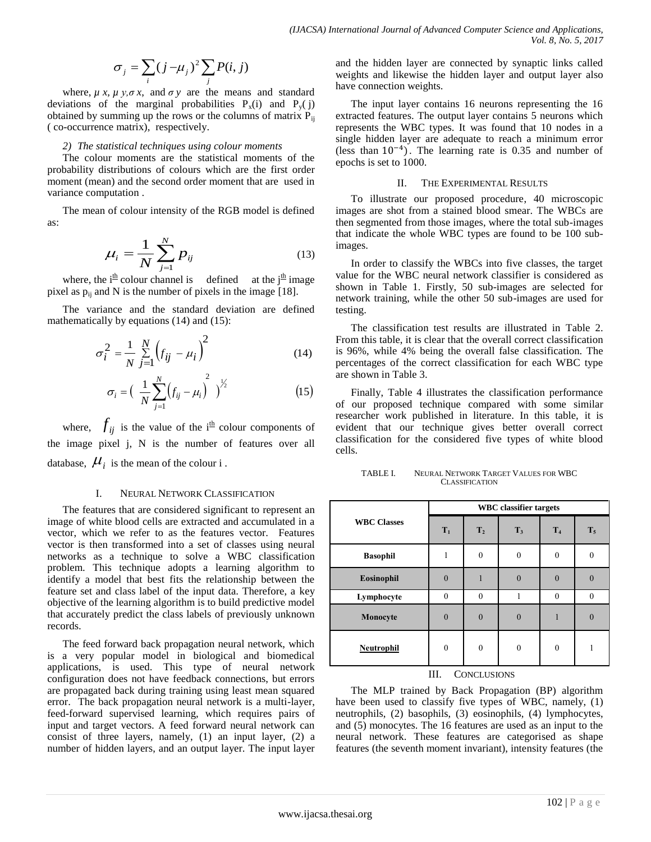$$
\sigma_j = \sum_i (j - \mu_j)^2 \sum_j P(i, j)
$$

where,  $\mu x$ ,  $\mu y$ ,  $\sigma x$ , and  $\sigma y$  are the means and standard deviations of the marginal probabilities  $P_x(i)$  and  $P_y(j)$ obtained by summing up the rows or the columns of matrix  $P_{ij}$ ( co-occurrence matrix), respectively.

### *2) The statistical techniques using colour moments*

The colour moments are the statistical moments of the probability distributions of colours which are the first order moment (mean) and the second order moment that are used in variance computation .

The mean of colour intensity of the RGB model is defined as:

$$
\mu_i = \frac{1}{N} \sum_{j=1}^{N} p_{ij}
$$
 (13)

where, the  $i^{\text{th}}$  colour channel is defined at the  $j^{\text{th}}$  image pixel as  $p_{ij}$  and N is the number of pixels in the image [18].

The variance and the standard deviation are defined mathematically by equations (14) and (15):

$$
\sigma_i^2 = \frac{1}{N} \sum_{j=1}^{N} (f_{ij} - \mu_i)^2
$$
 (14)

$$
\sigma_i = \left(\frac{1}{N} \sum_{j=1}^{N} \left(f_{ij} - \mu_i\right)^2\right)^{1/2} \tag{15}
$$

where,  $f_{ij}$  is the value of the i<sup>th</sup> colour components of the image pixel j, N is the number of features over all database,  $\mu_i$  is the mean of the colour i.

## I. NEURAL NETWORK CLASSIFICATION

The features that are considered significant to represent an image of white blood cells are extracted and accumulated in a vector, which we refer to as the features vector. Features vector is then transformed into a set of classes using neural networks as a technique to solve a WBC classification problem. This technique adopts a learning algorithm to identify a model that best fits the relationship between the feature set and class label of the input data. Therefore, a key objective of the learning algorithm is to build predictive model that accurately predict the class labels of previously unknown records.

The feed forward back propagation neural network, which is a very popular model in biological and biomedical applications, is used. This type of neural network configuration does not have feedback connections, but errors are propagated back during training using least mean squared error. The back propagation neural network is a multi-layer, feed-forward supervised learning, which requires pairs of input and target vectors. A feed forward neural network can consist of three layers, namely, (1) an input layer, (2) a number of hidden layers, and an output layer. The input layer

and the hidden layer are connected by synaptic links called weights and likewise the hidden layer and output layer also have connection weights.

The input layer contains 16 neurons representing the 16 extracted features. The output layer contains 5 neurons which represents the WBC types. It was found that 10 nodes in a single hidden layer are adequate to reach a minimum error (less than  $10^{-4}$ ). The learning rate is 0.35 and number of epochs is set to 1000.

## II. THE EXPERIMENTAL RESULTS

To illustrate our proposed procedure, 40 microscopic images are shot from a stained blood smear. The WBCs are then segmented from those images, where the total sub-images that indicate the whole WBC types are found to be 100 subimages.

In order to classify the WBCs into five classes, the target value for the WBC neural network classifier is considered as shown in Table 1. Firstly, 50 sub-images are selected for network training, while the other 50 sub-images are used for testing.

The classification test results are illustrated in Table 2. From this table, it is clear that the overall correct classification is 96%, while 4% being the overall false classification. The percentages of the correct classification for each WBC type are shown in Table 3.

Finally, Table 4 illustrates the classification performance of our proposed technique compared with some similar researcher work published in literature. In this table, it is evident that our technique gives better overall correct classification for the considered five types of white blood cells.

TABLE I. NEURAL NETWORK TARGET VALUES FOR WBC **CLASSIFICATION** 

|                    | <b>WBC</b> classifier targets |                |                |                |       |
|--------------------|-------------------------------|----------------|----------------|----------------|-------|
| <b>WBC Classes</b> | $T_1$                         | T <sub>2</sub> | T <sub>3</sub> | T <sub>4</sub> | $T_5$ |
| <b>Basophil</b>    | 1                             | $\theta$       | $\mathbf{0}$   | $\Omega$       |       |
| Eosinophil         | $\Omega$                      |                | $\theta$       | $\Omega$       |       |
| Lymphocyte         | $\theta$                      | $\theta$       |                | $\Omega$       |       |
| Monocyte           | $\theta$                      | $\theta$       | $\mathbf{0}$   |                |       |
| Neutrophil         | $\theta$                      | $\mathbf{0}$   | $\mathbf{0}$   | $\theta$       |       |
| --- -<br>-         |                               |                |                |                |       |

## III. CONCLUSIONS

The MLP trained by Back Propagation (BP) algorithm have been used to classify five types of WBC, namely, (1) neutrophils, (2) basophils, (3) eosinophils, (4) lymphocytes, and (5) monocytes. The 16 features are used as an input to the neural network. These features are categorised as shape features (the seventh moment invariant), intensity features (the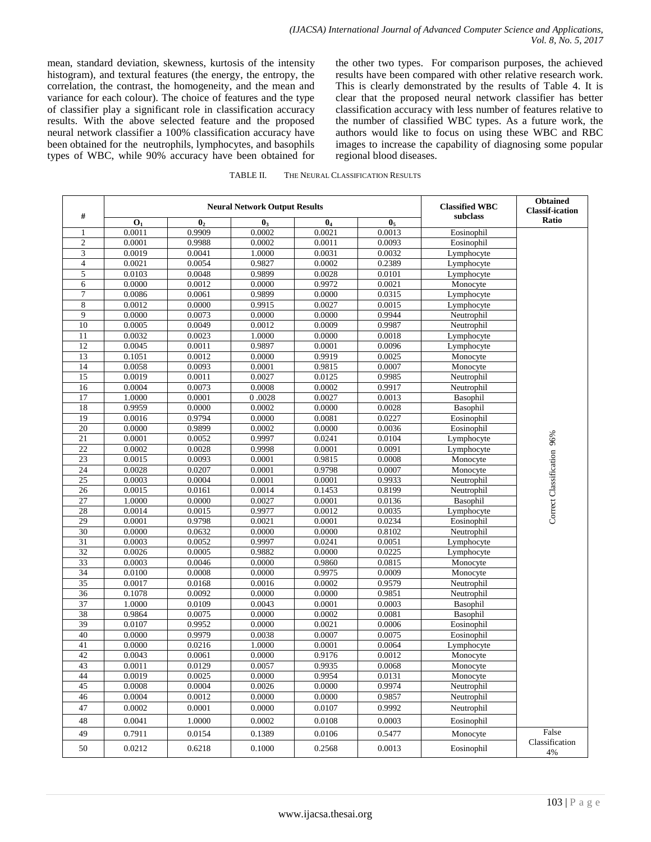mean, standard deviation, skewness, kurtosis of the intensity histogram), and textural features (the energy, the entropy, the correlation, the contrast, the homogeneity, and the mean and variance for each colour). The choice of features and the type of classifier play a significant role in classification accuracy results. With the above selected feature and the proposed neural network classifier a 100% classification accuracy have been obtained for the neutrophils, lymphocytes, and basophils types of WBC, while 90% accuracy have been obtained for the other two types. For comparison purposes, the achieved results have been compared with other relative research work. This is clearly demonstrated by the results of Table 4. It is clear that the proposed neural network classifier has better classification accuracy with less number of features relative to the number of classified WBC types. As a future work, the authors would like to focus on using these WBC and RBC images to increase the capability of diagnosing some popular regional blood diseases.

| #               | <b>Neural Network Output Results</b> |                |                |                | <b>Classified WBC</b> | <b>Obtained</b><br><b>Classif-ication</b> |                            |
|-----------------|--------------------------------------|----------------|----------------|----------------|-----------------------|-------------------------------------------|----------------------------|
|                 | $\mathbf{O}_1$                       | $\mathbf{0}_2$ | $\mathbf{0}_3$ | 0 <sub>4</sub> | 0 <sub>5</sub>        | subclass                                  | Ratio                      |
|                 | 0.0011                               | 0.9909         | 0.0002         | 0.0021         | 0.0013                | Eosinophil                                |                            |
| $\overline{c}$  | 0.0001                               | 0.9988         | 0.0002         | 0.0011         | 0.0093                | Eosinophil                                |                            |
| 3               | 0.0019                               | 0.0041         | 1.0000         | 0.0031         | 0.0032                | Lymphocyte                                |                            |
| $\overline{4}$  | 0.0021                               | 0.0054         | 0.9827         | 0.0002         | 0.2389                | Lymphocyte                                |                            |
| 5               | 0.0103                               | 0.0048         | 0.9899         | 0.0028         | 0.0101                | Lymphocyte                                |                            |
| 6               | 0.0000                               | 0.0012         | 0.0000         | 0.9972         | 0.0021                | Monocyte                                  |                            |
| $\overline{7}$  | 0.0086                               | 0.0061         | 0.9899         | 0.0000         | 0.0315                | Lymphocyte                                |                            |
| $\,8\,$         | 0.0012                               | 0.0000         | 0.9915         | 0.0027         | 0.0015                | Lymphocyte                                |                            |
| 9               | 0.0000                               | 0.0073         | 0.0000         | 0.0000         | 0.9944                | Neutrophil                                |                            |
| 10              | 0.0005                               | 0.0049         | 0.0012         | 0.0009         | 0.9987                | Neutrophil                                |                            |
| $\overline{11}$ | 0.0032                               | 0.0023         | 1.0000         | 0.0000         | 0.0018                | Lymphocyte                                |                            |
| 12              | 0.0045                               | 0.0011         | 0.9897         | 0.0001         | 0.0096                | Lymphocyte                                |                            |
| 13              | 0.1051                               | 0.0012         | 0.0000         | 0.9919         | 0.0025                | Monocyte                                  |                            |
| 14              | 0.0058                               | 0.0093         | 0.0001         | 0.9815         | 0.0007                | Monocyte                                  |                            |
| 15              | 0.0019                               | 0.0011         | 0.0027         | 0.0125         | 0.9985                | Neutrophil                                |                            |
| 16              | 0.0004                               | 0.0073         | 0.0008         | 0.0002         | 0.9917                | Neutrophil                                |                            |
| 17              | 1.0000                               | 0.0001         | 0.0028         | 0.0027         | 0.0013                | Basophil                                  |                            |
| 18              | 0.9959                               | 0.0000         | 0.0002         | 0.0000         | 0.0028                | Basophil                                  |                            |
| 19              | 0.0016                               | 0.9794         | 0.0000         | 0.0081         | 0.0227                | Eosinophil                                |                            |
| 20              | 0.0000                               | 0.9899         | 0.0002         | 0.0000         | 0.0036                | Eosinophil                                |                            |
| 21              | 0.0001                               | 0.0052         | 0.9997         | 0.0241         | 0.0104                | Lymphocyte                                |                            |
| 22              | 0.0002                               | 0.0028         | 0.9998         | 0.0001         | 0.0091                | Lymphocyte                                |                            |
| 23              | 0.0015                               | 0.0093         | 0.0001         | 0.9815         | 0.0008                | Monocyte                                  |                            |
| $\overline{24}$ | 0.0028                               | 0.0207         | 0.0001         | 0.9798         | 0.0007                | Monocyte                                  |                            |
| 25              | 0.0003                               | 0.0004         | 0.0001         | 0.0001         | 0.9933                | Neutrophil                                | Correct Classification 96% |
| 26              | 0.0015                               | 0.0161         | 0.0014         | 0.1453         | 0.8199                | Neutrophil                                |                            |
| 27              | 1.0000                               | 0.0000         | 0.0027         | 0.0001         | 0.0136                | Basophil                                  |                            |
| 28              | 0.0014                               | 0.0015         | 0.9977         | 0.0012         | 0.0035                | Lymphocyte                                |                            |
| 29              | 0.0001                               | 0.9798         | 0.0021         | 0.0001         | 0.0234                | Eosinophil                                |                            |
| 30              | 0.0000                               | 0.0632         | 0.0000         | 0.0000         | 0.8102                | Neutrophil                                |                            |
| 31              | 0.0003                               | 0.0052         | 0.9997         | 0.0241         | 0.0051                | Lymphocyte                                |                            |
| 32              | 0.0026                               | 0.0005         | 0.9882         | 0.0000         | 0.0225                | Lymphocyte                                |                            |
| 33              | 0.0003                               | 0.0046         | 0.0000         | 0.9860         | 0.0815                | Monocyte                                  |                            |
| 34              | 0.0100                               | 0.0008         | 0.0000         | 0.9975         | 0.0009                | Monocyte                                  |                            |
| 35              | 0.0017                               | 0.0168         | 0.0016         | 0.0002         | 0.9579                | Neutrophil                                |                            |
| $\overline{36}$ | 0.1078                               | 0.0092         | 0.0000         | 0.0000         | 0.9851                | Neutrophil                                |                            |
| $\overline{37}$ | 1.0000                               | 0.0109         | 0.0043         | 0.0001         | 0.0003                | Basophil                                  |                            |
| 38              | 0.9864                               | 0.0075         | 0.0000         | 0.0002         | 0.0081                | Basophil                                  |                            |
| 39              | 0.0107                               | 0.9952         | 0.0000         | 0.0021         | 0.0006                | Eosinophil                                |                            |
| 40              | 0.0000                               | 0.9979         | 0.0038         | 0.0007         | 0.0075                | Eosinophil                                |                            |
| 41              | 0.0000                               | 0.0216         | 1.0000         | 0.0001         | 0.0064                | Lymphocyte                                |                            |
| 42              | 0.0043                               | 0.0061         | 0.0000         | 0.9176         | 0.0012                | Monocyte                                  |                            |
| 43              | 0.0011                               | 0.0129         | 0.0057         | 0.9935         | 0.0068                | Monocyte                                  |                            |
| 44              | 0.0019                               | 0.0025         | 0.0000         | 0.9954         | 0.0131                | Monocyte                                  |                            |
| 45              | 0.0008                               | 0.0004         | 0.0026         | 0.0000         | 0.9974                | Neutrophil                                |                            |
| 46              | 0.0004                               | 0.0012         | 0.0000         | 0.0000         | 0.9857                | Neutrophil                                |                            |
| 47              | 0.0002                               | 0.0001         | 0.0000         | 0.0107         | 0.9992                | Neutrophil                                |                            |
| 48              | 0.0041                               | 1.0000         | 0.0002         | 0.0108         | 0.0003                | Eosinophil                                |                            |
| 49              | 0.7911                               | 0.0154         | 0.1389         | 0.0106         | 0.5477                | Monocyte                                  | False                      |
| $50\,$          | 0.0212                               | 0.6218         | 0.1000         | 0.2568         | 0.0013                | Eosinophil                                | Classification<br>4%       |